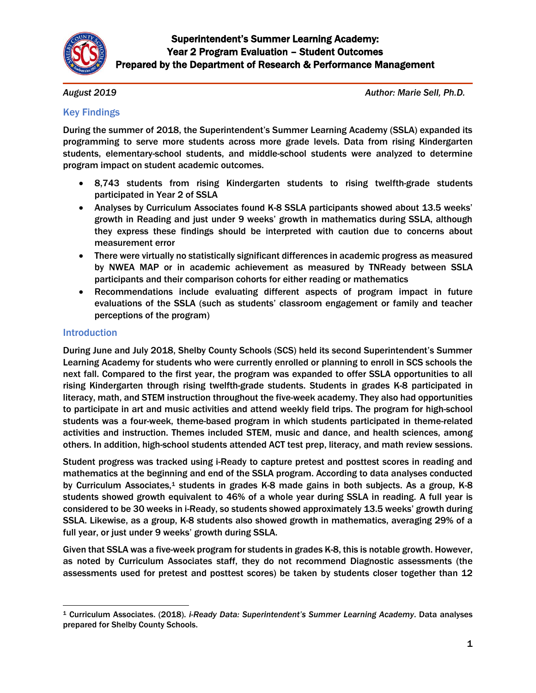

*August 2019*

*Author: Marie Sell, Ph.D.*

## Key Findings

During the summer of 2018, the Superintendent's Summer Learning Academy (SSLA) expanded its programming to serve more students across more grade levels. Data from rising Kindergarten students, elementary-school students, and middle-school students were analyzed to determine program impact on student academic outcomes.

- 8,743 students from rising Kindergarten students to rising twelfth-grade students participated in Year 2 of SSLA
- Analyses by Curriculum Associates found K-8 SSLA participants showed about 13.5 weeks' growth in Reading and just under 9 weeks' growth in mathematics during SSLA, although they express these findings should be interpreted with caution due to concerns about measurement error
- There were virtually no statistically significant differences in academic progress as measured by NWEA MAP or in academic achievement as measured by TNReady between SSLA participants and their comparison cohorts for either reading or mathematics
- Recommendations include evaluating different aspects of program impact in future evaluations of the SSLA (such as students' classroom engagement or family and teacher perceptions of the program)

## Introduction

During June and July 2018, Shelby County Schools (SCS) held its second Superintendent's Summer Learning Academy for students who were currently enrolled or planning to enroll in SCS schools the next fall. Compared to the first year, the program was expanded to offer SSLA opportunities to all rising Kindergarten through rising twelfth-grade students. Students in grades K-8 participated in literacy, math, and STEM instruction throughout the five-week academy. They also had opportunities to participate in art and music activities and attend weekly field trips. The program for high-school students was a four-week, theme-based program in which students participated in theme-related activities and instruction. Themes included STEM, music and dance, and health sciences, among others. In addition, high-school students attended ACT test prep, literacy, and math review sessions.

Student progress was tracked using i-Ready to capture pretest and posttest scores in reading and mathematics at the beginning and end of the SSLA program. According to data analyses conducted by Curriculum Associates, $1$  students in grades K-8 made gains in both subjects. As a group, K-8 students showed growth equivalent to 46% of a whole year during SSLA in reading. A full year is considered to be 30 weeks in i-Ready, so students showed approximately 13.5 weeks' growth during SSLA. Likewise, as a group, K-8 students also showed growth in mathematics, averaging 29% of a full year, or just under 9 weeks' growth during SSLA.

Given that SSLA was a five-week program for students in grades K-8, this is notable growth. However, as noted by Curriculum Associates staff, they do not recommend Diagnostic assessments (the assessments used for pretest and posttest scores) be taken by students closer together than 12

 $\overline{a}$ <sup>1</sup> Curriculum Associates. (2018). *i-Ready Data: Superintendent's Summer Learning Academy*. Data analyses prepared for Shelby County Schools.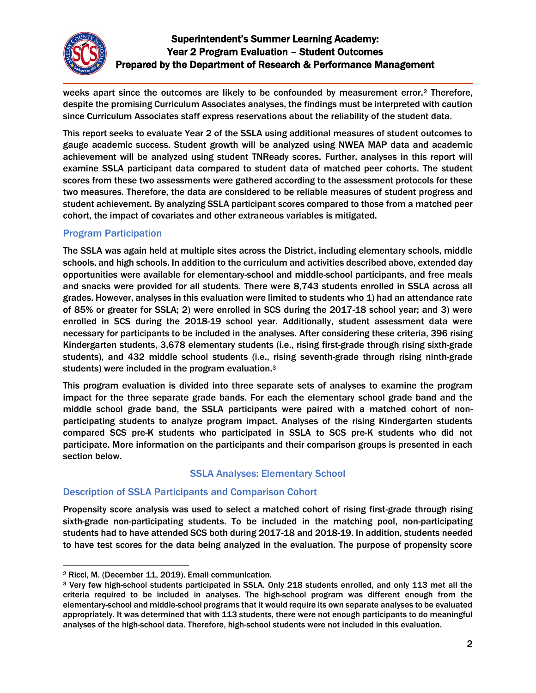

weeks apart since the outcomes are likely to be confounded by measurement error.<sup>2</sup> Therefore, despite the promising Curriculum Associates analyses, the findings must be interpreted with caution since Curriculum Associates staff express reservations about the reliability of the student data.

This report seeks to evaluate Year 2 of the SSLA using additional measures of student outcomes to gauge academic success. Student growth will be analyzed using NWEA MAP data and academic achievement will be analyzed using student TNReady scores. Further, analyses in this report will examine SSLA participant data compared to student data of matched peer cohorts. The student scores from these two assessments were gathered according to the assessment protocols for these two measures. Therefore, the data are considered to be reliable measures of student progress and student achievement. By analyzing SSLA participant scores compared to those from a matched peer cohort, the impact of covariates and other extraneous variables is mitigated.

# Program Participation

The SSLA was again held at multiple sites across the District, including elementary schools, middle schools, and high schools. In addition to the curriculum and activities described above, extended day opportunities were available for elementary-school and middle-school participants, and free meals and snacks were provided for all students. There were 8,743 students enrolled in SSLA across all grades. However, analyses in this evaluation were limited to students who 1) had an attendance rate of 85% or greater for SSLA; 2) were enrolled in SCS during the 2017-18 school year; and 3) were enrolled in SCS during the 2018-19 school year. Additionally, student assessment data were necessary for participants to be included in the analyses. After considering these criteria, 396 rising Kindergarten students, 3,678 elementary students (i.e., rising first-grade through rising sixth-grade students), and 432 middle school students (i.e., rising seventh-grade through rising ninth-grade students) were included in the program evaluation.<sup>3</sup>

This program evaluation is divided into three separate sets of analyses to examine the program impact for the three separate grade bands. For each the elementary school grade band and the middle school grade band, the SSLA participants were paired with a matched cohort of nonparticipating students to analyze program impact. Analyses of the rising Kindergarten students compared SCS pre-K students who participated in SSLA to SCS pre-K students who did not participate. More information on the participants and their comparison groups is presented in each section below.

# SSLA Analyses: Elementary School

# Description of SSLA Participants and Comparison Cohort

Propensity score analysis was used to select a matched cohort of rising first-grade through rising sixth-grade non-participating students. To be included in the matching pool, non-participating students had to have attended SCS both during 2017-18 and 2018-19. In addition, students needed to have test scores for the data being analyzed in the evaluation. The purpose of propensity score

 $\overline{a}$ <sup>2</sup> Ricci, M. (December 11, 2019). Email communication.

<sup>3</sup> Very few high-school students participated in SSLA. Only 218 students enrolled, and only 113 met all the criteria required to be included in analyses. The high-school program was different enough from the elementary-school and middle-school programs that it would require its own separate analyses to be evaluated appropriately. It was determined that with 113 students, there were not enough participants to do meaningful analyses of the high-school data. Therefore, high-school students were not included in this evaluation.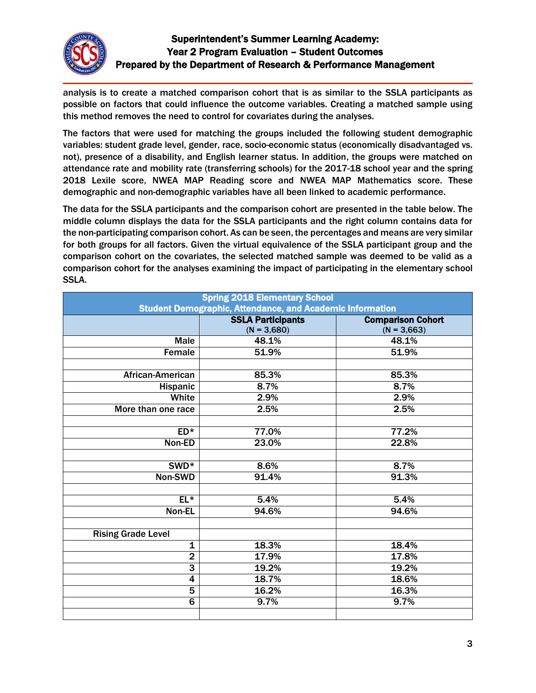

analysis is to create a matched comparison cohort that is as similar to the SSLA participants as possible on factors that could influence the outcome variables. Creating a matched sample using this method removes the need to control for covariates during the analyses.

The factors that were used for matching the groups included the following student demographic variables: student grade level, gender, race, socio-economic status (economically disadvantaged vs. not), presence of a disability, and English learner status. In addition, the groups were matched on attendance rate and mobility rate (transferring schools) for the 2017-18 school year and the spring 2018 Lexile score, NWEA MAP Reading score and NWEA MAP Mathematics score. These demographic and non-demographic variables have all been linked to academic performance.

The data for the SSLA participants and the comparison cohort are presented in the table below. The middle column displays the data for the SSLA participants and the right column contains data for the non-participating comparison cohort. As can be seen, the percentages and means are very similar for both groups for all factors. Given the virtual equivalence of the SSLA participant group and the comparison cohort on the covariates, the selected matched sample was deemed to be valid as a comparison cohort for the analyses examining the impact of participating in the elementary school SSLA.

| <b>Spring 2018 Elementary School</b><br><b>Student Demographic, Attendance, and Academic Information</b> |                                           |                                           |  |
|----------------------------------------------------------------------------------------------------------|-------------------------------------------|-------------------------------------------|--|
|                                                                                                          | <b>SSLA Participants</b><br>$(N = 3,680)$ | <b>Comparison Cohort</b><br>$(N = 3,663)$ |  |
| <b>Male</b>                                                                                              | 48.1%                                     | 48.1%                                     |  |
| Female                                                                                                   | 51.9%                                     | 51.9%                                     |  |
|                                                                                                          |                                           |                                           |  |
| African-American                                                                                         | 85.3%                                     | 85.3%                                     |  |
| <b>Hispanic</b>                                                                                          | 8.7%                                      | 8.7%                                      |  |
| White                                                                                                    | 2.9%                                      | 2.9%                                      |  |
| More than one race                                                                                       | 2.5%                                      | 2.5%                                      |  |
|                                                                                                          |                                           |                                           |  |
| $ED*$                                                                                                    | 77.0%                                     | 77.2%                                     |  |
| Non-ED                                                                                                   | 23.0%                                     | 22.8%                                     |  |
|                                                                                                          |                                           |                                           |  |
| SWD <sup>*</sup>                                                                                         | 8.6%                                      | 8.7%                                      |  |
| Non-SWD                                                                                                  | 91.4%                                     | 91.3%                                     |  |
|                                                                                                          |                                           |                                           |  |
| $EL*$                                                                                                    | 5.4%                                      | 5.4%                                      |  |
| Non-EL                                                                                                   | 94.6%                                     | 94.6%                                     |  |
|                                                                                                          |                                           |                                           |  |
| <b>Rising Grade Level</b>                                                                                |                                           |                                           |  |
| $\overline{\mathbf{1}}$                                                                                  | 18.3%                                     | 18.4%                                     |  |
| $\overline{2}$                                                                                           | 17.9%                                     | 17.8%                                     |  |
| 3                                                                                                        | 19.2%                                     | 19.2%                                     |  |
| $\overline{\mathbf{4}}$                                                                                  | 18.7%                                     | 18.6%                                     |  |
| 5                                                                                                        | 16.2%                                     | 16.3%                                     |  |
| $\overline{6}$                                                                                           | 9.7%                                      | 9.7%                                      |  |
|                                                                                                          |                                           |                                           |  |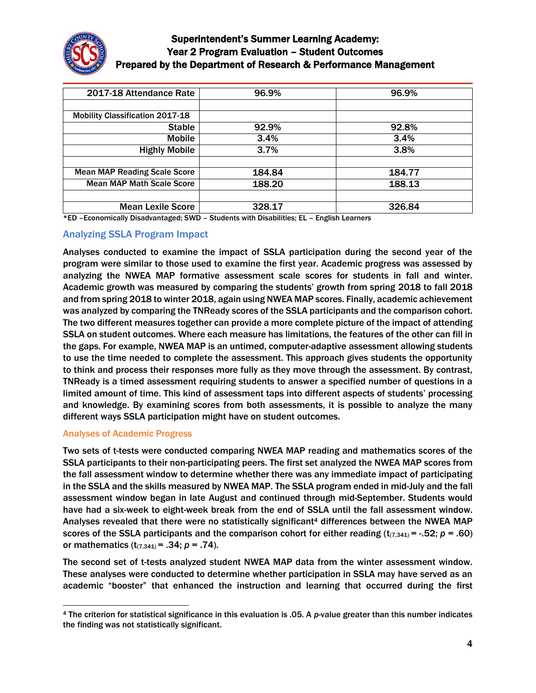

| 2017-18 Attendance Rate                | 96.9%  | 96.9%  |
|----------------------------------------|--------|--------|
|                                        |        |        |
| <b>Mobility Classification 2017-18</b> |        |        |
| <b>Stable</b>                          | 92.9%  | 92.8%  |
| <b>Mobile</b>                          | 3.4%   | 3.4%   |
| <b>Highly Mobile</b>                   | 3.7%   | 3.8%   |
|                                        |        |        |
| <b>Mean MAP Reading Scale Score</b>    | 184.84 | 184.77 |
| <b>Mean MAP Math Scale Score</b>       | 188.20 | 188.13 |
|                                        |        |        |
| <b>Mean Lexile Score</b>               | 328.17 | 326.84 |

\*ED –Economically Disadvantaged; SWD – Students with Disabilities; EL – English Learners

#### Analyzing SSLA Program Impact

Analyses conducted to examine the impact of SSLA participation during the second year of the program were similar to those used to examine the first year. Academic progress was assessed by analyzing the NWEA MAP formative assessment scale scores for students in fall and winter. Academic growth was measured by comparing the students' growth from spring 2018 to fall 2018 and from spring 2018 to winter 2018, again using NWEA MAP scores. Finally, academic achievement was analyzed by comparing the TNReady scores of the SSLA participants and the comparison cohort. The two different measures together can provide a more complete picture of the impact of attending SSLA on student outcomes. Where each measure has limitations, the features of the other can fill in the gaps. For example, NWEA MAP is an untimed, computer-adaptive assessment allowing students to use the time needed to complete the assessment. This approach gives students the opportunity to think and process their responses more fully as they move through the assessment. By contrast, TNReady is a timed assessment requiring students to answer a specified number of questions in a limited amount of time. This kind of assessment taps into different aspects of students' processing and knowledge. By examining scores from both assessments, it is possible to analyze the many different ways SSLA participation might have on student outcomes.

#### Analyses of Academic Progress

Two sets of t-tests were conducted comparing NWEA MAP reading and mathematics scores of the SSLA participants to their non-participating peers. The first set analyzed the NWEA MAP scores from the fall assessment window to determine whether there was any immediate impact of participating in the SSLA and the skills measured by NWEA MAP. The SSLA program ended in mid-July and the fall assessment window began in late August and continued through mid-September. Students would have had a six-week to eight-week break from the end of SSLA until the fall assessment window. Analyses revealed that there were no statistically significant<sup>4</sup> differences between the NWEA MAP scores of the SSLA participants and the comparison cohort for either reading  $(t_{(7,341)} = -.52; p = .60)$ or mathematics  $(t_{(7,341)} = .34; p = .74)$ .

The second set of t-tests analyzed student NWEA MAP data from the winter assessment window. These analyses were conducted to determine whether participation in SSLA may have served as an academic "booster" that enhanced the instruction and learning that occurred during the first

 $\overline{a}$ <sup>4</sup> The criterion for statistical significance in this evaluation is .05. A *p*-value greater than this number indicates the finding was not statistically significant.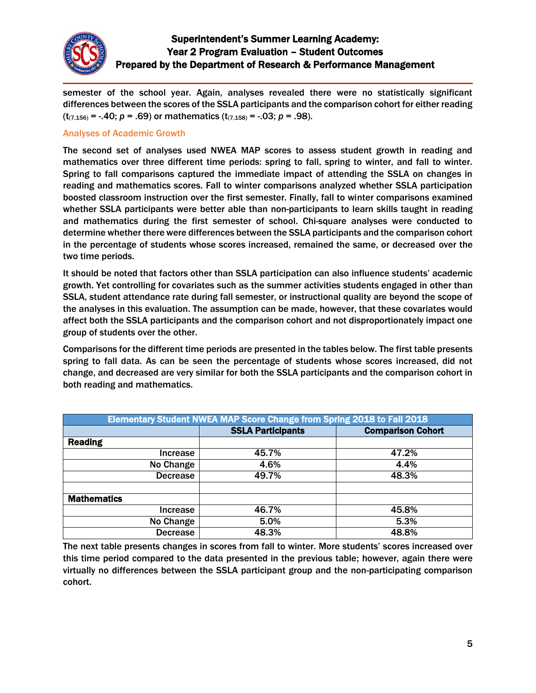

semester of the school year. Again, analyses revealed there were no statistically significant differences between the scores of the SSLA participants and the comparison cohort for either reading  $(t_{(7,156)} = -.40; p = .69)$  or mathematics  $(t_{(7,158)} = -.03; p = .98)$ .

#### Analyses of Academic Growth

The second set of analyses used NWEA MAP scores to assess student growth in reading and mathematics over three different time periods: spring to fall, spring to winter, and fall to winter. Spring to fall comparisons captured the immediate impact of attending the SSLA on changes in reading and mathematics scores. Fall to winter comparisons analyzed whether SSLA participation boosted classroom instruction over the first semester. Finally, fall to winter comparisons examined whether SSLA participants were better able than non-participants to learn skills taught in reading and mathematics during the first semester of school. Chi-square analyses were conducted to determine whether there were differences between the SSLA participants and the comparison cohort in the percentage of students whose scores increased, remained the same, or decreased over the two time periods.

It should be noted that factors other than SSLA participation can also influence students' academic growth. Yet controlling for covariates such as the summer activities students engaged in other than SSLA, student attendance rate during fall semester, or instructional quality are beyond the scope of the analyses in this evaluation. The assumption can be made, however, that these covariates would affect both the SSLA participants and the comparison cohort and not disproportionately impact one group of students over the other.

Comparisons for the different time periods are presented in the tables below. The first table presents spring to fall data. As can be seen the percentage of students whose scores increased, did not change, and decreased are very similar for both the SSLA participants and the comparison cohort in both reading and mathematics.

| Elementary Student NWEA MAP Score Change from Spring 2018 to Fall 2018 |                          |                          |  |
|------------------------------------------------------------------------|--------------------------|--------------------------|--|
|                                                                        | <b>SSLA Participants</b> | <b>Comparison Cohort</b> |  |
| <b>Reading</b>                                                         |                          |                          |  |
| <b>Increase</b>                                                        | 45.7%                    | 47.2%                    |  |
| $\overline{No}$ Change                                                 | 4.6%                     | 4.4%                     |  |
| <b>Decrease</b>                                                        | 49.7%                    | 48.3%                    |  |
| <b>Mathematics</b>                                                     |                          |                          |  |
| Increase                                                               | 46.7%                    | 45.8%                    |  |
| No Change                                                              | 5.0%                     | 5.3%                     |  |
| <b>Decrease</b>                                                        | 48.3%                    | 48.8%                    |  |

The next table presents changes in scores from fall to winter. More students' scores increased over this time period compared to the data presented in the previous table; however, again there were virtually no differences between the SSLA participant group and the non-participating comparison cohort.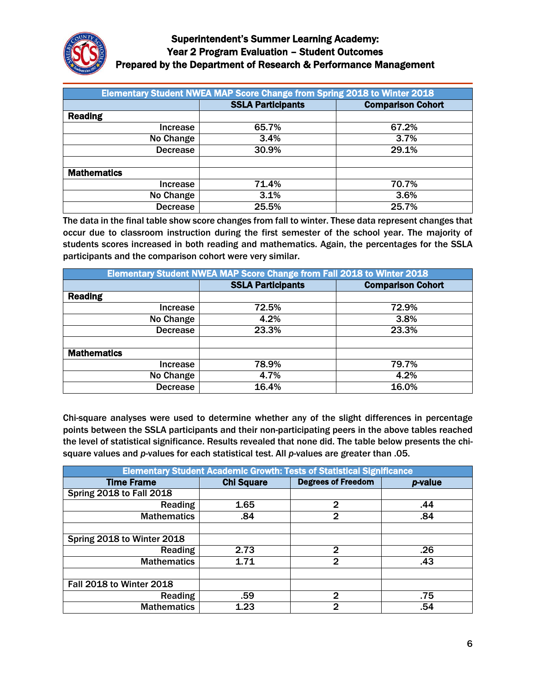

| Elementary Student NWEA MAP Score Change from Spring 2018 to Winter 2018 |                          |                          |  |
|--------------------------------------------------------------------------|--------------------------|--------------------------|--|
|                                                                          | <b>SSLA Participants</b> | <b>Comparison Cohort</b> |  |
| <b>Reading</b>                                                           |                          |                          |  |
| Increase                                                                 | 65.7%                    | 67.2%                    |  |
| No Change                                                                | 3.4%                     | 3.7%                     |  |
| <b>Decrease</b>                                                          | 30.9%                    | 29.1%                    |  |
|                                                                          |                          |                          |  |
| <b>Mathematics</b>                                                       |                          |                          |  |
| Increase                                                                 | 71.4%                    | 70.7%                    |  |
| No Change                                                                | 3.1%                     | 3.6%                     |  |
| <b>Decrease</b>                                                          | 25.5%                    | 25.7%                    |  |

The data in the final table show score changes from fall to winter. These data represent changes that occur due to classroom instruction during the first semester of the school year. The majority of students scores increased in both reading and mathematics. Again, the percentages for the SSLA participants and the comparison cohort were very similar.

| <b>Elementary Student NWEA MAP Score Change from Fall 2018 to Winter 2018</b> |                          |                          |  |
|-------------------------------------------------------------------------------|--------------------------|--------------------------|--|
|                                                                               | <b>SSLA Participants</b> | <b>Comparison Cohort</b> |  |
| <b>Reading</b>                                                                |                          |                          |  |
| <b>Increase</b>                                                               | 72.5%                    | 72.9%                    |  |
| No Change                                                                     | 4.2%                     | 3.8%                     |  |
| <b>Decrease</b>                                                               | 23.3%                    | 23.3%                    |  |
|                                                                               |                          |                          |  |
| <b>Mathematics</b>                                                            |                          |                          |  |
| <b>Increase</b>                                                               | 78.9%                    | 79.7%                    |  |
| No Change                                                                     | 4.7%                     | 4.2%                     |  |
| <b>Decrease</b>                                                               | 16.4%                    | 16.0%                    |  |

Chi-square analyses were used to determine whether any of the slight differences in percentage points between the SSLA participants and their non-participating peers in the above tables reached the level of statistical significance. Results revealed that none did. The table below presents the chisquare values and *p*-values for each statistical test. All *p*-values are greater than .05.

| <b>Elementary Student Academic Growth: Tests of Statistical Significance</b> |                   |                           |         |
|------------------------------------------------------------------------------|-------------------|---------------------------|---------|
| <b>Time Frame</b>                                                            | <b>Chi Square</b> | <b>Degrees of Freedom</b> | p-value |
| <b>Spring 2018 to Fall 2018</b>                                              |                   |                           |         |
| Reading                                                                      | 1.65              | $\overline{2}$            | .44     |
| <b>Mathematics</b>                                                           | .84               | $\mathbf{2}$              | .84     |
|                                                                              |                   |                           |         |
| Spring 2018 to Winter 2018                                                   |                   |                           |         |
| Reading                                                                      | 2.73              | $\mathbf{2}$              | .26     |
| <b>Mathematics</b>                                                           | 1.71              | $\mathbf{2}$              | .43     |
|                                                                              |                   |                           |         |
| Fall 2018 to Winter 2018                                                     |                   |                           |         |
| Reading                                                                      | .59               | $\mathbf{p}$              | .75     |
| <b>Mathematics</b>                                                           | 1.23              | $\mathbf 2$               | .54     |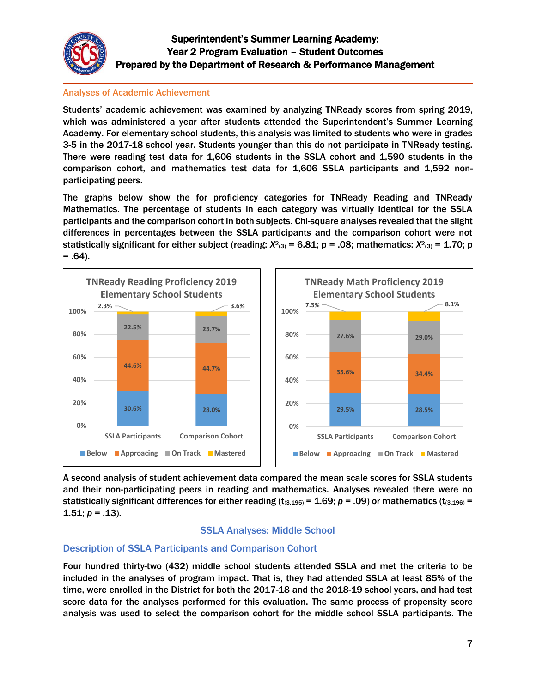

#### Analyses of Academic Achievement

Students' academic achievement was examined by analyzing TNReady scores from spring 2019, which was administered a year after students attended the Superintendent's Summer Learning Academy. For elementary school students, this analysis was limited to students who were in grades 3-5 in the 2017-18 school year. Students younger than this do not participate in TNReady testing. There were reading test data for 1,606 students in the SSLA cohort and 1,590 students in the comparison cohort, and mathematics test data for 1,606 SSLA participants and 1,592 nonparticipating peers.

The graphs below show the for proficiency categories for TNReady Reading and TNReady Mathematics. The percentage of students in each category was virtually identical for the SSLA participants and the comparison cohort in both subjects. Chi-square analyses revealed that the slight differences in percentages between the SSLA participants and the comparison cohort were not statistically significant for either subject (reading: *X*<sup>2</sup>(3) = 6.81; p = .08; mathematics: *X*<sup>2</sup>(3) = 1.70; p  $= .64$ ).



A second analysis of student achievement data compared the mean scale scores for SSLA students and their non-participating peers in reading and mathematics. Analyses revealed there were no statistically significant differences for either reading  $(t_{(3,195)} = 1.69; p = .09)$  or mathematics  $(t_{(3,196)} =$ 1.51;  $p = .13$ ).

## SSLA Analyses: Middle School

## Description of SSLA Participants and Comparison Cohort

Four hundred thirty-two (432) middle school students attended SSLA and met the criteria to be included in the analyses of program impact. That is, they had attended SSLA at least 85% of the time, were enrolled in the District for both the 2017-18 and the 2018-19 school years, and had test score data for the analyses performed for this evaluation. The same process of propensity score analysis was used to select the comparison cohort for the middle school SSLA participants. The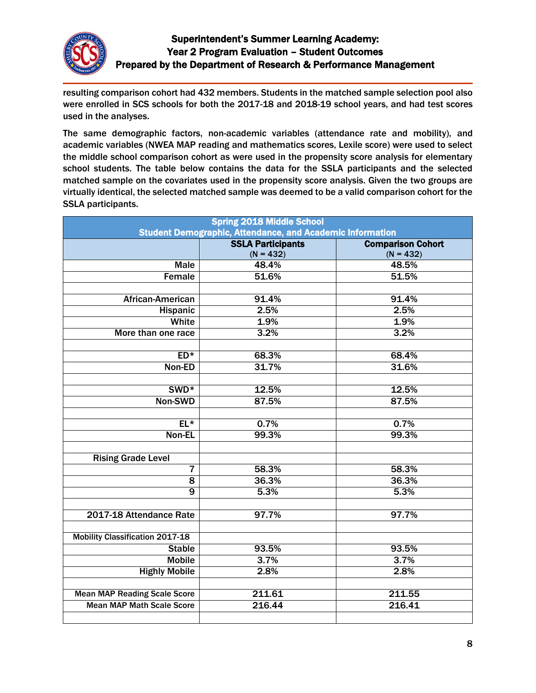

resulting comparison cohort had 432 members. Students in the matched sample selection pool also were enrolled in SCS schools for both the 2017-18 and 2018-19 school years, and had test scores used in the analyses.

The same demographic factors, non-academic variables (attendance rate and mobility), and academic variables (NWEA MAP reading and mathematics scores, Lexile score) were used to select the middle school comparison cohort as were used in the propensity score analysis for elementary school students. The table below contains the data for the SSLA participants and the selected matched sample on the covariates used in the propensity score analysis. Given the two groups are virtually identical, the selected matched sample was deemed to be a valid comparison cohort for the SSLA participants.

| <b>Spring 2018 Middle School</b>                                 |                          |                          |  |
|------------------------------------------------------------------|--------------------------|--------------------------|--|
| <b>Student Demographic, Attendance, and Academic Information</b> |                          |                          |  |
|                                                                  | <b>SSLA Participants</b> | <b>Comparison Cohort</b> |  |
|                                                                  | $(N = 432)$              | $(N = 432)$              |  |
| <b>Male</b>                                                      | 48.4%                    | 48.5%                    |  |
| Female                                                           | 51.6%                    | 51.5%                    |  |
|                                                                  |                          |                          |  |
| African-American                                                 | 91.4%                    | 91.4%                    |  |
| Hispanic                                                         | 2.5%                     | 2.5%                     |  |
| White                                                            | 1.9%                     | 1.9%                     |  |
| More than one race                                               | 3.2%                     | 3.2%                     |  |
|                                                                  |                          |                          |  |
| $ED*$                                                            | 68.3%                    | 68.4%                    |  |
| Non-ED                                                           | 31.7%                    | 31.6%                    |  |
|                                                                  |                          |                          |  |
| SWD <sup>*</sup>                                                 | 12.5%                    | 12.5%                    |  |
| Non-SWD                                                          | 87.5%                    | 87.5%                    |  |
|                                                                  |                          |                          |  |
| $EL*$                                                            | 0.7%                     | 0.7%                     |  |
| Non-EL                                                           | 99.3%                    | 99.3%                    |  |
|                                                                  |                          |                          |  |
| <b>Rising Grade Level</b>                                        |                          |                          |  |
| 7                                                                | 58.3%                    | 58.3%                    |  |
| $\overline{8}$                                                   | 36.3%                    | 36.3%                    |  |
| $\overline{9}$                                                   | 5.3%                     | 5.3%                     |  |
|                                                                  |                          |                          |  |
| 2017-18 Attendance Rate                                          | 97.7%                    | 97.7%                    |  |
|                                                                  |                          |                          |  |
| <b>Mobility Classification 2017-18</b>                           |                          |                          |  |
| <b>Stable</b>                                                    | 93.5%                    | 93.5%                    |  |
| <b>Mobile</b>                                                    | 3.7%                     | 3.7%                     |  |
| <b>Highly Mobile</b>                                             | 2.8%                     | 2.8%                     |  |
|                                                                  |                          |                          |  |
| <b>Mean MAP Reading Scale Score</b>                              | 211.61                   | 211.55                   |  |
| <b>Mean MAP Math Scale Score</b>                                 | 216.44                   | 216.41                   |  |
|                                                                  |                          |                          |  |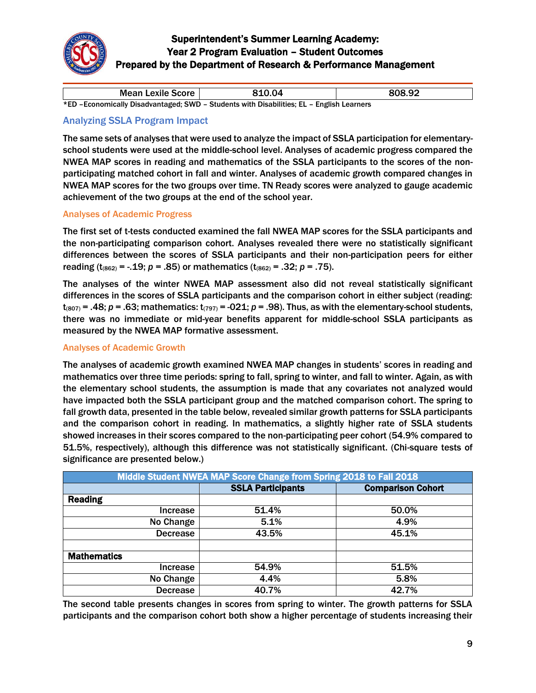

| Mean Lexile Score                                                                         | 810.04 | 808.92 |
|-------------------------------------------------------------------------------------------|--------|--------|
| *ED - Economically Disadvantaged; SWD - Students with Disabilities; EL - English Learners |        |        |

## Analyzing SSLA Program Impact

The same sets of analyses that were used to analyze the impact of SSLA participation for elementaryschool students were used at the middle-school level. Analyses of academic progress compared the NWEA MAP scores in reading and mathematics of the SSLA participants to the scores of the nonparticipating matched cohort in fall and winter. Analyses of academic growth compared changes in NWEA MAP scores for the two groups over time. TN Ready scores were analyzed to gauge academic achievement of the two groups at the end of the school year.

#### Analyses of Academic Progress

The first set of t-tests conducted examined the fall NWEA MAP scores for the SSLA participants and the non-participating comparison cohort. Analyses revealed there were no statistically significant differences between the scores of SSLA participants and their non-participation peers for either reading ( $t_{(862)} = -.19$ ; *p* = .85) or mathematics ( $t_{(862)} = .32$ ; *p* = .75).

The analyses of the winter NWEA MAP assessment also did not reveal statistically significant differences in the scores of SSLA participants and the comparison cohort in either subject (reading:  $t_{(807)}$  = .48;  $p$  = .63; mathematics:  $t_{(797)}$  = -021;  $p$  = .98). Thus, as with the elementary-school students, there was no immediate or mid-year benefits apparent for middle-school SSLA participants as measured by the NWEA MAP formative assessment.

#### Analyses of Academic Growth

The analyses of academic growth examined NWEA MAP changes in students' scores in reading and mathematics over three time periods: spring to fall, spring to winter, and fall to winter. Again, as with the elementary school students, the assumption is made that any covariates not analyzed would have impacted both the SSLA participant group and the matched comparison cohort. The spring to fall growth data, presented in the table below, revealed similar growth patterns for SSLA participants and the comparison cohort in reading. In mathematics, a slightly higher rate of SSLA students showed increases in their scores compared to the non-participating peer cohort (54.9% compared to 51.5%, respectively), although this difference was not statistically significant. (Chi-square tests of significance are presented below.)

| Middle Student NWEA MAP Score Change from Spring 2018 to Fall 2018 |                          |                          |  |
|--------------------------------------------------------------------|--------------------------|--------------------------|--|
|                                                                    | <b>SSLA Participants</b> | <b>Comparison Cohort</b> |  |
| <b>Reading</b>                                                     |                          |                          |  |
| Increase                                                           | 51.4%                    | 50.0%                    |  |
| No Change                                                          | 5.1%                     | 4.9%                     |  |
| <b>Decrease</b>                                                    | 43.5%                    | 45.1%                    |  |
|                                                                    |                          |                          |  |
| <b>Mathematics</b>                                                 |                          |                          |  |
| Increase                                                           | 54.9%                    | 51.5%                    |  |
| No Change                                                          | 4.4%                     | 5.8%                     |  |
| <b>Decrease</b>                                                    | 40.7%                    | 42.7%                    |  |

The second table presents changes in scores from spring to winter. The growth patterns for SSLA participants and the comparison cohort both show a higher percentage of students increasing their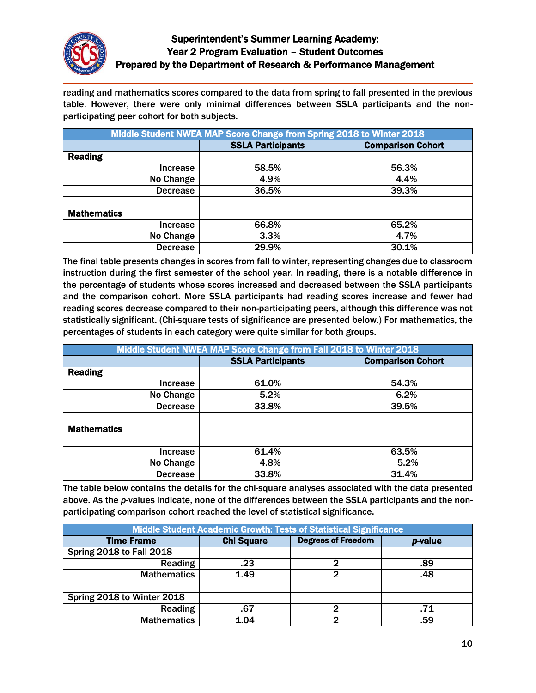

reading and mathematics scores compared to the data from spring to fall presented in the previous table. However, there were only minimal differences between SSLA participants and the nonparticipating peer cohort for both subjects.

| Middle Student NWEA MAP Score Change from Spring 2018 to Winter 2018 |                          |                          |  |
|----------------------------------------------------------------------|--------------------------|--------------------------|--|
|                                                                      | <b>SSLA Participants</b> | <b>Comparison Cohort</b> |  |
| <b>Reading</b>                                                       |                          |                          |  |
| Increase                                                             | 58.5%                    | 56.3%                    |  |
| No Change                                                            | 4.9%                     | 4.4%                     |  |
| <b>Decrease</b>                                                      | 36.5%                    | 39.3%                    |  |
|                                                                      |                          |                          |  |
| <b>Mathematics</b>                                                   |                          |                          |  |
| Increase                                                             | 66.8%                    | 65.2%                    |  |
| No Change                                                            | 3.3%                     | 4.7%                     |  |
| <b>Decrease</b>                                                      | 29.9%                    | 30.1%                    |  |

The final table presents changes in scores from fall to winter, representing changes due to classroom instruction during the first semester of the school year. In reading, there is a notable difference in the percentage of students whose scores increased and decreased between the SSLA participants and the comparison cohort. More SSLA participants had reading scores increase and fewer had reading scores decrease compared to their non-participating peers, although this difference was not statistically significant. (Chi-square tests of significance are presented below.) For mathematics, the percentages of students in each category were quite similar for both groups.

| Middle Student NWEA MAP Score Change from Fall 2018 to Winter 2018 |                          |                          |  |
|--------------------------------------------------------------------|--------------------------|--------------------------|--|
|                                                                    | <b>SSLA Participants</b> | <b>Comparison Cohort</b> |  |
| <b>Reading</b>                                                     |                          |                          |  |
| Increase                                                           | 61.0%                    | 54.3%                    |  |
| No Change                                                          | 5.2%                     | 6.2%                     |  |
| <b>Decrease</b>                                                    | 33.8%                    | 39.5%                    |  |
|                                                                    |                          |                          |  |
| <b>Mathematics</b>                                                 |                          |                          |  |
|                                                                    |                          |                          |  |
| Increase                                                           | 61.4%                    | 63.5%                    |  |
| No Change                                                          | 4.8%                     | 5.2%                     |  |
| <b>Decrease</b>                                                    | 33.8%                    | 31.4%                    |  |

The table below contains the details for the chi-square analyses associated with the data presented above. As the *p*-values indicate, none of the differences between the SSLA participants and the nonparticipating comparison cohort reached the level of statistical significance.

| Middle Student Academic Growth: Tests of Statistical Significance |                   |                           |                 |
|-------------------------------------------------------------------|-------------------|---------------------------|-----------------|
| <b>Time Frame</b>                                                 | <b>Chi Square</b> | <b>Degrees of Freedom</b> | <i>p</i> -value |
| <b>Spring 2018 to Fall 2018</b>                                   |                   |                           |                 |
| <b>Reading</b>                                                    | .23               | 2                         | .89             |
| <b>Mathematics</b>                                                | 1.49              | 2                         | .48             |
|                                                                   |                   |                           |                 |
| Spring 2018 to Winter 2018                                        |                   |                           |                 |
| Reading                                                           | .67               | 2                         | .71             |
| <b>Mathematics</b>                                                | 1.04              | 2                         | .59             |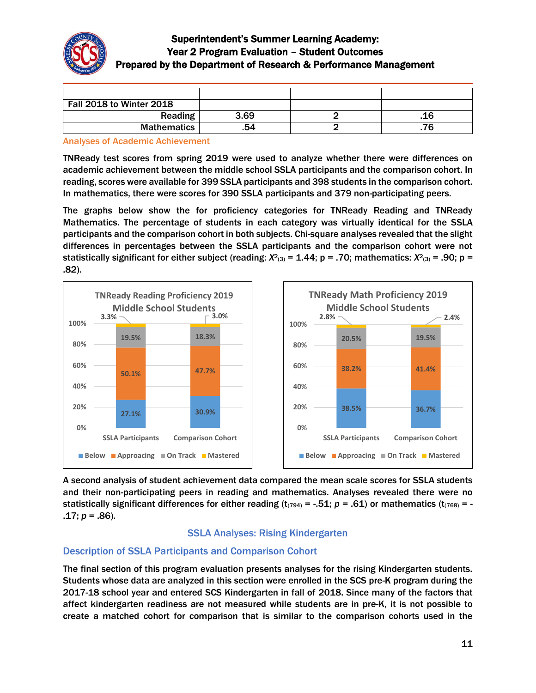

| Fall 2018 to Winter 2018 |      |     |
|--------------------------|------|-----|
| Reading                  | 3.69 | .16 |
| <b>Mathematics</b>       | 54   |     |

Analyses of Academic Achievement

TNReady test scores from spring 2019 were used to analyze whether there were differences on academic achievement between the middle school SSLA participants and the comparison cohort. In reading, scores were available for 399 SSLA participants and 398 students in the comparison cohort. In mathematics, there were scores for 390 SSLA participants and 379 non-participating peers.

The graphs below show the for proficiency categories for TNReady Reading and TNReady Mathematics. The percentage of students in each category was virtually identical for the SSLA participants and the comparison cohort in both subjects. Chi-square analyses revealed that the slight differences in percentages between the SSLA participants and the comparison cohort were not statistically significant for either subject (reading: *Χ*2(3) = 1.44; p = .70; mathematics: *Χ*2(3) = .90; p = .82).



A second analysis of student achievement data compared the mean scale scores for SSLA students and their non-participating peers in reading and mathematics. Analyses revealed there were no statistically significant differences for either reading  $(t_{(794)} = -.51; p = .61)$  or mathematics  $(t_{(768)} = -$ .17; *p* = .86).

## SSLA Analyses: Rising Kindergarten

## Description of SSLA Participants and Comparison Cohort

The final section of this program evaluation presents analyses for the rising Kindergarten students. Students whose data are analyzed in this section were enrolled in the SCS pre-K program during the 2017-18 school year and entered SCS Kindergarten in fall of 2018. Since many of the factors that affect kindergarten readiness are not measured while students are in pre-K, it is not possible to create a matched cohort for comparison that is similar to the comparison cohorts used in the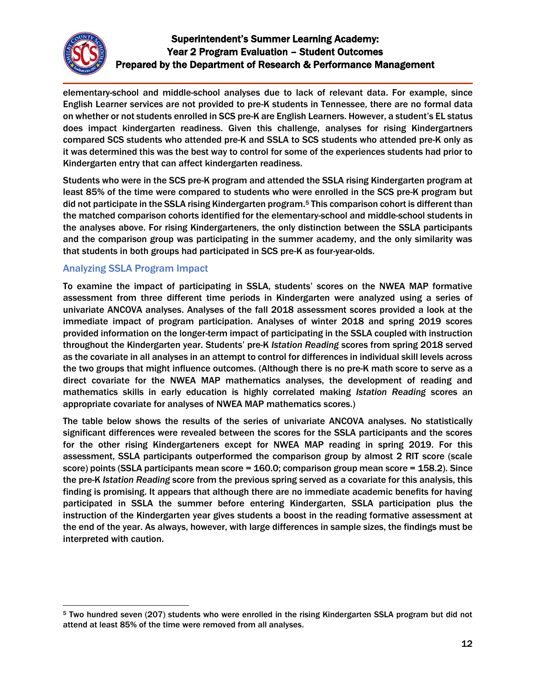

elementary-school and middle-school analyses due to lack of relevant data. For example, since English Learner services are not provided to pre-K students in Tennessee, there are no formal data on whether or not students enrolled in SCS pre-K are English Learners. However, a student's EL status does impact kindergarten readiness. Given this challenge, analyses for rising Kindergartners compared SCS students who attended pre-K and SSLA to SCS students who attended pre-K only as it was determined this was the best way to control for some of the experiences students had prior to Kindergarten entry that can affect kindergarten readiness.

Students who were in the SCS pre-K program and attended the SSLA rising Kindergarten program at least 85% of the time were compared to students who were enrolled in the SCS pre-K program but did not participate in the SSLA rising Kindergarten program.<sup>5</sup> This comparison cohort is different than the matched comparison cohorts identified for the elementary-school and middle-school students in the analyses above. For rising Kindergarteners, the only distinction between the SSLA participants and the comparison group was participating in the summer academy, and the only similarity was that students in both groups had participated in SCS pre-K as four-year-olds.

# Analyzing SSLA Program Impact

To examine the impact of participating in SSLA, students' scores on the NWEA MAP formative assessment from three different time periods in Kindergarten were analyzed using a series of univariate ANCOVA analyses. Analyses of the fall 2018 assessment scores provided a look at the immediate impact of program participation. Analyses of winter 2018 and spring 2019 scores provided information on the longer-term impact of participating in the SSLA coupled with instruction throughout the Kindergarten year. Students' pre-K *Istation Reading* scores from spring 2018 served as the covariate in all analyses in an attempt to control for differences in individual skill levels across the two groups that might influence outcomes. (Although there is no pre-K math score to serve as a direct covariate for the NWEA MAP mathematics analyses, the development of reading and mathematics skills in early education is highly correlated making *Istation Reading* scores an appropriate covariate for analyses of NWEA MAP mathematics scores.)

The table below shows the results of the series of univariate ANCOVA analyses. No statistically significant differences were revealed between the scores for the SSLA participants and the scores for the other rising Kindergarteners except for NWEA MAP reading in spring 2019. For this assessment, SSLA participants outperformed the comparison group by almost 2 RIT score (scale score) points (SSLA participants mean score = 160.0; comparison group mean score = 158.2). Since the pre-K *Istation Reading* score from the previous spring served as a covariate for this analysis, this finding is promising. It appears that although there are no immediate academic benefits for having participated in SSLA the summer before entering Kindergarten, SSLA participation plus the instruction of the Kindergarten year gives students a boost in the reading formative assessment at the end of the year. As always, however, with large differences in sample sizes, the findings must be interpreted with caution.

 $\overline{a}$ <sup>5</sup> Two hundred seven (207) students who were enrolled in the rising Kindergarten SSLA program but did not attend at least 85% of the time were removed from all analyses.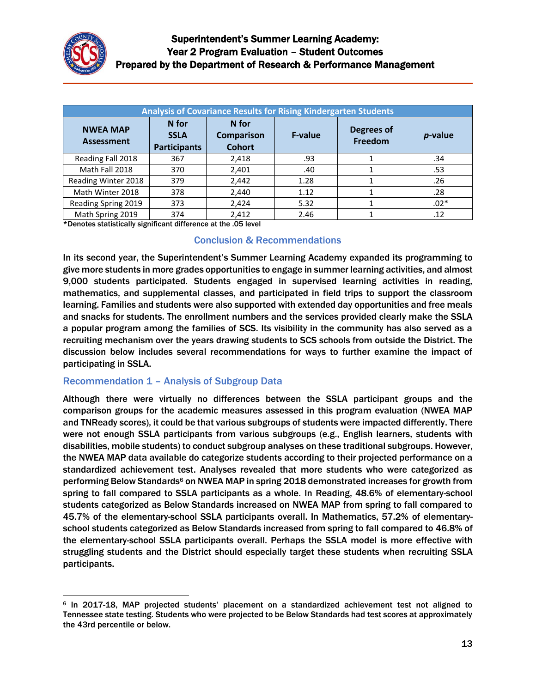

| <b>Analysis of Covariance Results for Rising Kindergarten Students</b> |                                             |                                             |                |                       |            |  |  |
|------------------------------------------------------------------------|---------------------------------------------|---------------------------------------------|----------------|-----------------------|------------|--|--|
| <b>NWEA MAP</b><br><b>Assessment</b>                                   | N for<br><b>SSLA</b><br><b>Participants</b> | N for<br><b>Comparison</b><br><b>Cohort</b> | <b>F-value</b> | Degrees of<br>Freedom | $p$ -value |  |  |
| Reading Fall 2018                                                      | 367                                         | 2,418                                       | .93            |                       | .34        |  |  |
| Math Fall 2018                                                         | 370                                         | 2,401                                       | .40            |                       | .53        |  |  |
| Reading Winter 2018                                                    | 379                                         | 2,442                                       | 1.28           |                       | .26        |  |  |
| Math Winter 2018                                                       | 378                                         | 2,440                                       | 1.12           |                       | .28        |  |  |
| Reading Spring 2019                                                    | 373                                         | 2,424                                       | 5.32           |                       | $.02*$     |  |  |
| Math Spring 2019                                                       | 374                                         | 2.412                                       | 2.46           |                       | .12        |  |  |

\*Denotes statistically significant difference at the .05 level

#### Conclusion & Recommendations

In its second year, the Superintendent's Summer Learning Academy expanded its programming to give more students in more grades opportunities to engage in summer learning activities, and almost 9,000 students participated. Students engaged in supervised learning activities in reading, mathematics, and supplemental classes, and participated in field trips to support the classroom learning. Families and students were also supported with extended day opportunities and free meals and snacks for students. The enrollment numbers and the services provided clearly make the SSLA a popular program among the families of SCS. Its visibility in the community has also served as a recruiting mechanism over the years drawing students to SCS schools from outside the District. The discussion below includes several recommendations for ways to further examine the impact of participating in SSLA.

## Recommendation 1 – Analysis of Subgroup Data

Although there were virtually no differences between the SSLA participant groups and the comparison groups for the academic measures assessed in this program evaluation (NWEA MAP and TNReady scores), it could be that various subgroups of students were impacted differently. There were not enough SSLA participants from various subgroups (e.g., English learners, students with disabilities, mobile students) to conduct subgroup analyses on these traditional subgroups. However, the NWEA MAP data available do categorize students according to their projected performance on a standardized achievement test. Analyses revealed that more students who were categorized as performing Below Standards<sup>6</sup> on NWEA MAP in spring 2018 demonstrated increases for growth from spring to fall compared to SSLA participants as a whole. In Reading, 48.6% of elementary-school students categorized as Below Standards increased on NWEA MAP from spring to fall compared to 45.7% of the elementary-school SSLA participants overall. In Mathematics, 57.2% of elementaryschool students categorized as Below Standards increased from spring to fall compared to 46.8% of the elementary-school SSLA participants overall. Perhaps the SSLA model is more effective with struggling students and the District should especially target these students when recruiting SSLA participants.

 $\overline{a}$ <sup>6</sup> In 2017-18, MAP projected students' placement on a standardized achievement test not aligned to Tennessee state testing. Students who were projected to be Below Standards had test scores at approximately the 43rd percentile or below.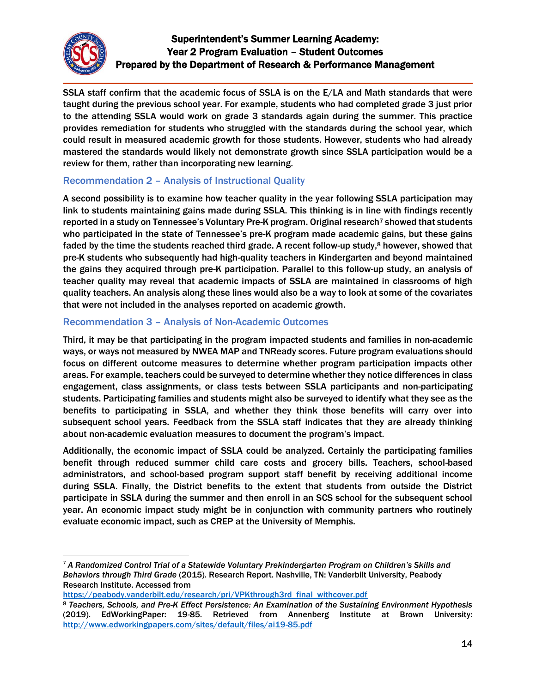

 $\overline{\phantom{a}}$ 

# Superintendent's Summer Learning Academy: Year 2 Program Evaluation – Student Outcomes Prepared by the Department of Research & Performance Management

SSLA staff confirm that the academic focus of SSLA is on the E/LA and Math standards that were taught during the previous school year. For example, students who had completed grade 3 just prior to the attending SSLA would work on grade 3 standards again during the summer. This practice provides remediation for students who struggled with the standards during the school year, which could result in measured academic growth for those students. However, students who had already mastered the standards would likely not demonstrate growth since SSLA participation would be a review for them, rather than incorporating new learning.

# Recommendation 2 – Analysis of Instructional Quality

A second possibility is to examine how teacher quality in the year following SSLA participation may link to students maintaining gains made during SSLA. This thinking is in line with findings recently reported in a study on Tennessee's Voluntary Pre-K program. Original research<sup>7</sup> showed that students who participated in the state of Tennessee's pre-K program made academic gains, but these gains faded by the time the students reached third grade. A recent follow-up study,<sup>8</sup> however, showed that pre-K students who subsequently had high-quality teachers in Kindergarten and beyond maintained the gains they acquired through pre-K participation. Parallel to this follow-up study, an analysis of teacher quality may reveal that academic impacts of SSLA are maintained in classrooms of high quality teachers. An analysis along these lines would also be a way to look at some of the covariates that were not included in the analyses reported on academic growth.

## Recommendation 3 – Analysis of Non-Academic Outcomes

Third, it may be that participating in the program impacted students and families in non-academic ways, or ways not measured by NWEA MAP and TNReady scores. Future program evaluations should focus on different outcome measures to determine whether program participation impacts other areas. For example, teachers could be surveyed to determine whether they notice differences in class engagement, class assignments, or class tests between SSLA participants and non-participating students. Participating families and students might also be surveyed to identify what they see as the benefits to participating in SSLA, and whether they think those benefits will carry over into subsequent school years. Feedback from the SSLA staff indicates that they are already thinking about non-academic evaluation measures to document the program's impact.

Additionally, the economic impact of SSLA could be analyzed. Certainly the participating families benefit through reduced summer child care costs and grocery bills. Teachers, school-based administrators, and school-based program support staff benefit by receiving additional income during SSLA. Finally, the District benefits to the extent that students from outside the District participate in SSLA during the summer and then enroll in an SCS school for the subsequent school year. An economic impact study might be in conjunction with community partners who routinely evaluate economic impact, such as CREP at the University of Memphis.

[https://peabody.vanderbilt.edu/research/pri/VPKthrough3rd\\_final\\_withcover.pdf](https://peabody.vanderbilt.edu/research/pri/VPKthrough3rd_final_withcover.pdf)

<sup>7</sup> *A Randomized Control Trial of a Statewide Voluntary Prekindergarten Program on Children's Skills and Behaviors through Third Grade* (2015). Research Report. Nashville, TN: Vanderbilt University, Peabody Research Institute. Accessed from

<sup>8</sup> *Teachers, Schools, and Pre-K Effect Persistence: An Examination of the Sustaining Environment Hypothesis* (2019). EdWorkingPaper: 19-85. Retrieved from Annenberg Institute at Brown University: <http://www.edworkingpapers.com/sites/default/files/ai19-85.pdf>